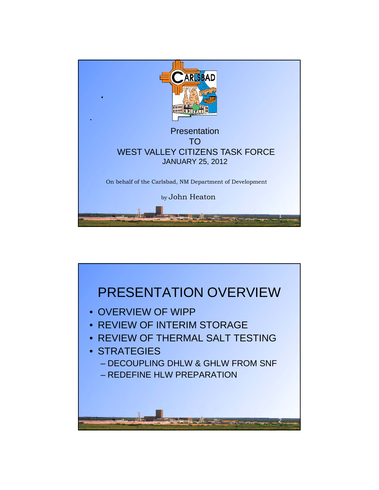

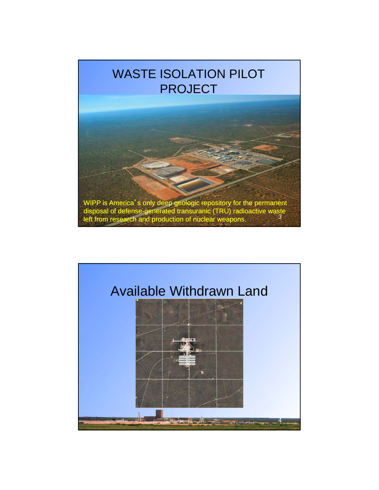### WASTE ISOLATION PILOT PROJECT



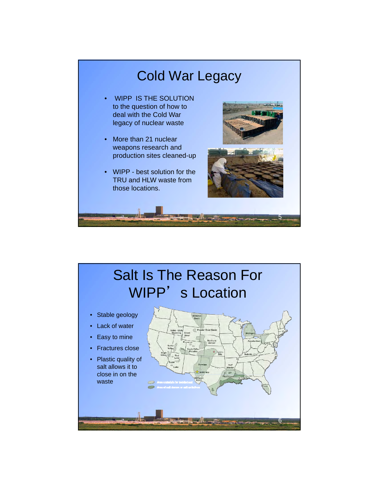

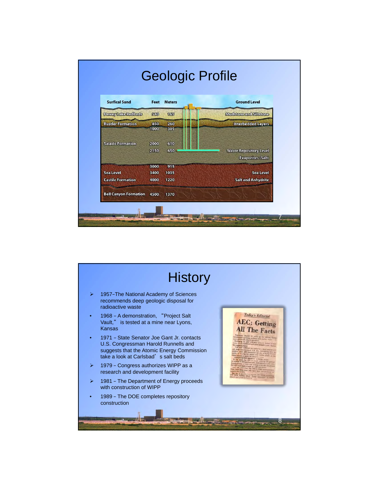

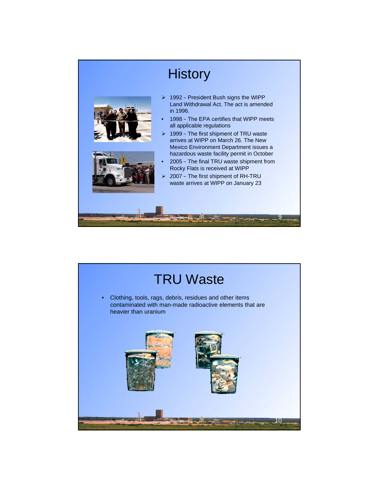

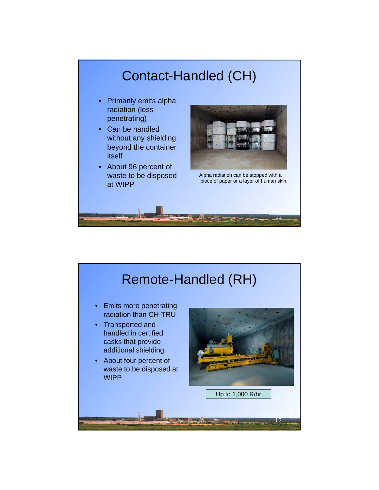#### Contact-Handled (CH)

- Primarily emits alpha radiation (less penetrating)
- Can be handled without any shielding beyond the container itself
- About 96 percent of waste to be disposed at WIPP



Alpha radiation can be stopped with a piece of paper or a layer of human skin.

11

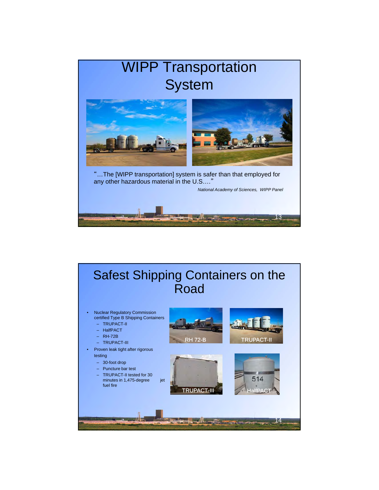

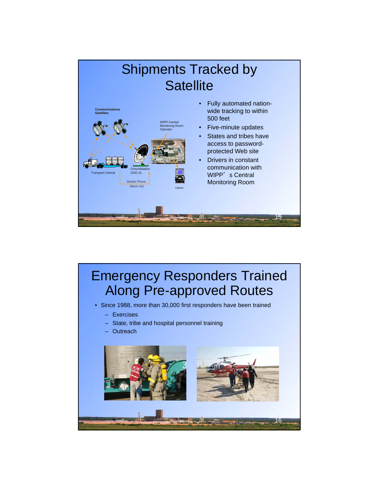

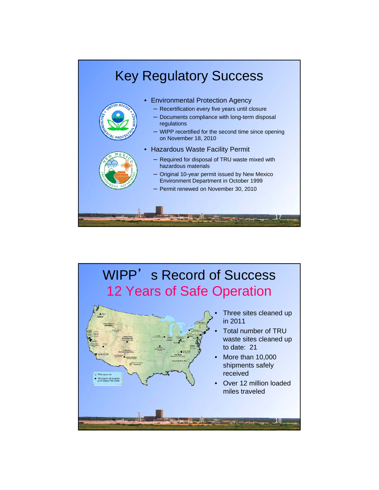

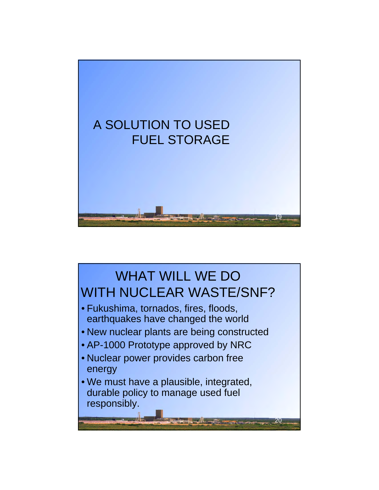

# WHAT WILL WE DO WITH NUCLEAR WASTE/SNF?

- Fukushima, tornados, fires, floods, earthquakes have changed the world earthquakes have changed the
- New nuclear plants are being constructed
- AP-1000 Prototype approved by NRC
- Nuclear power provides carbon free energy
- We must have a plausible, integrated, durable policy to manage used fuel responsibly.

 $\mathcal{L} = \mathcal{L}$ 

20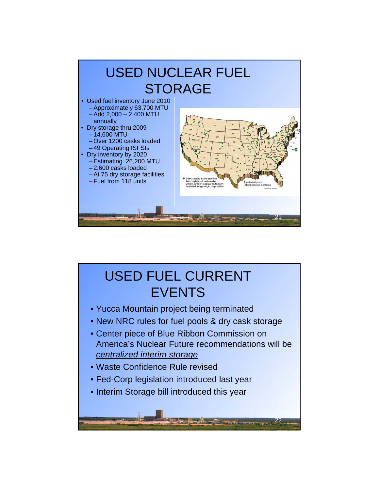

## USED FUEL CURRENT **EVENTS**

- Yucca Mountain project being terminated
- New NRC rules for fuel pools & dry cask storage
- Center piece of Blue Ribbon Commission on America's Nuclear Future recommendations will be *centralized interim storage*

22

• Waste Confidence Rule revised

 $\frac{1}{2}$ 

- Fed-Corp legislation introduced last year
- Interim Storage bill introduced this year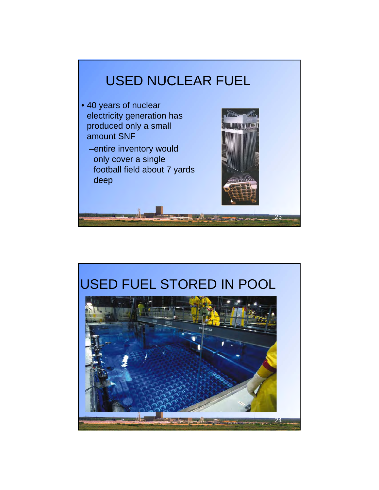

- 40 years of nuclear electricity generation has electricity generation produced only a small amount SNF
	- –entire inventory would only cover a single football field about 7 yards deep



## USED FUEL STORED IN POOL

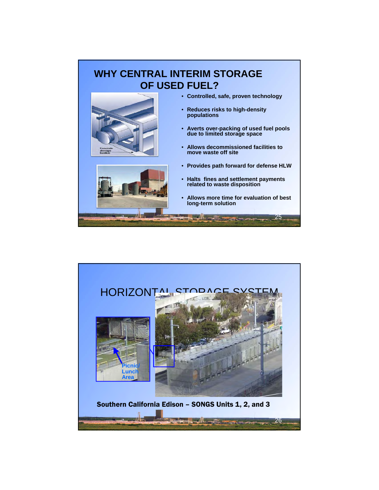#### **WHY CENTRAL INTERIM STORAGE OF USED FUEL?**



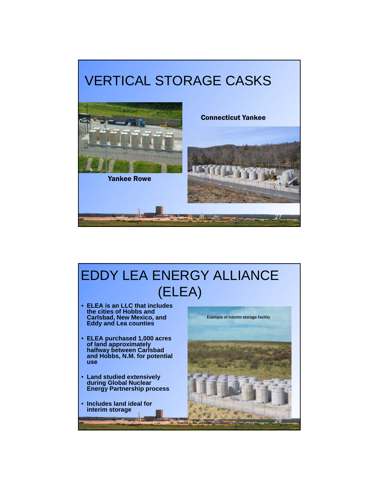



#### EDDY LEA ENERGY ALLIANCE (ELEA)

- **ELEA is an LLC that includes the cities of Hobbs and Eddy and Lea counties**
- **ELEA purchased 1,000 acres of land approximately halfway between Carlsbad and Hobbs, N.M. for potential use**
- **Land studied extensively during Global Nuclear Energy Partnership process**

 $H -$ 

• **Includes land ideal for interim storage**

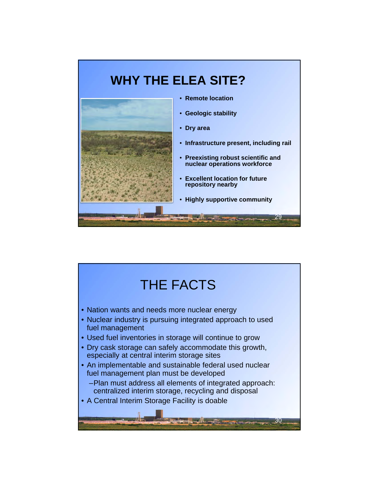

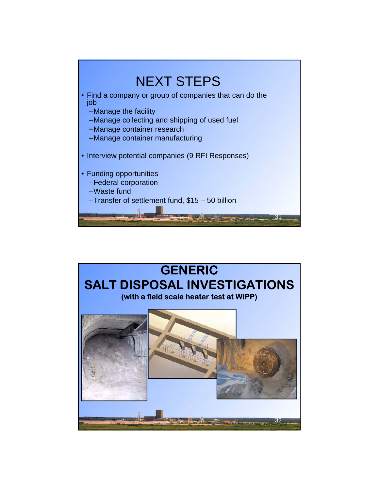

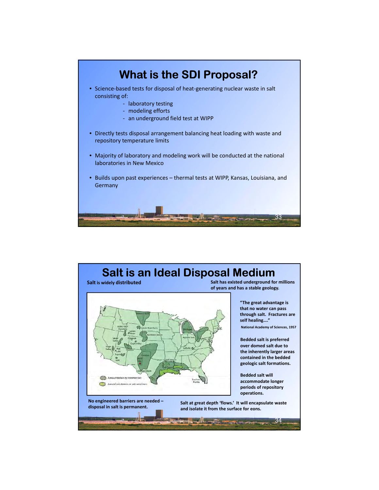

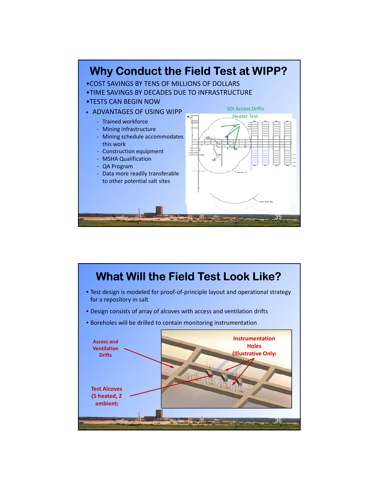

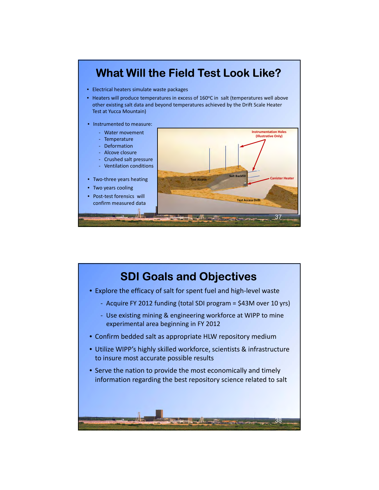

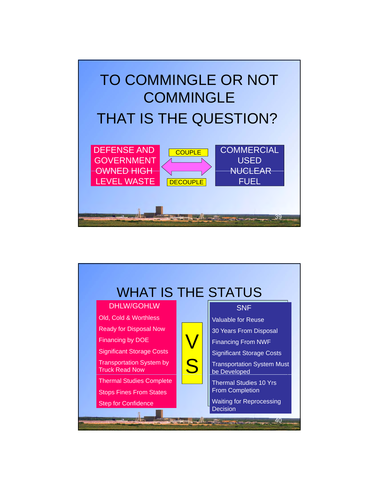

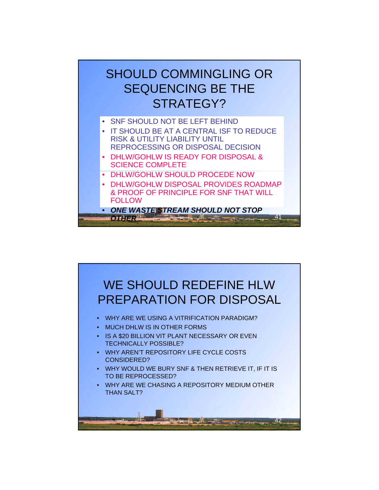#### SHOULD COMMINGLING OR SEQUENCING BE THE STRATEGY?

- SNF SHOULD NOT BE LEFT BEHIND
- IT SHOULD BE AT A CENTRAL ISF TO REDUCE RISK & UTILITY LIABILITY UNTIL REPROCESSING OR DISPOSAL DECISION
- DHLW/GOHLW IS READY FOR DISPOSAL & SCIENCE COMPLETE
- DHLW/GOHLW SHOULD PROCEDE NOW
- DHLW/GOHLW DISPOSAL PROVIDES ROADMAP & PROOF OF PRINCIPLE FOR SNF THAT WILL **FOLLOW**
- *ONE WASTE STREAM SHOULD NOT STOP*  **COTHER 2019 - 2019 - 2019 - 2019 - 2019 - 2019 - 2019 - 2019 - 2019 - 2019 - 2019 - 2019 - 2019 - 2019 - 2019 - 2019 - 2019 - 2019 - 2019 - 2019 - 2019 - 2019 - 2019 - 2019 - 2019 - 2019 - 2019 - 2019 - 2019 - 2019 - 2019**